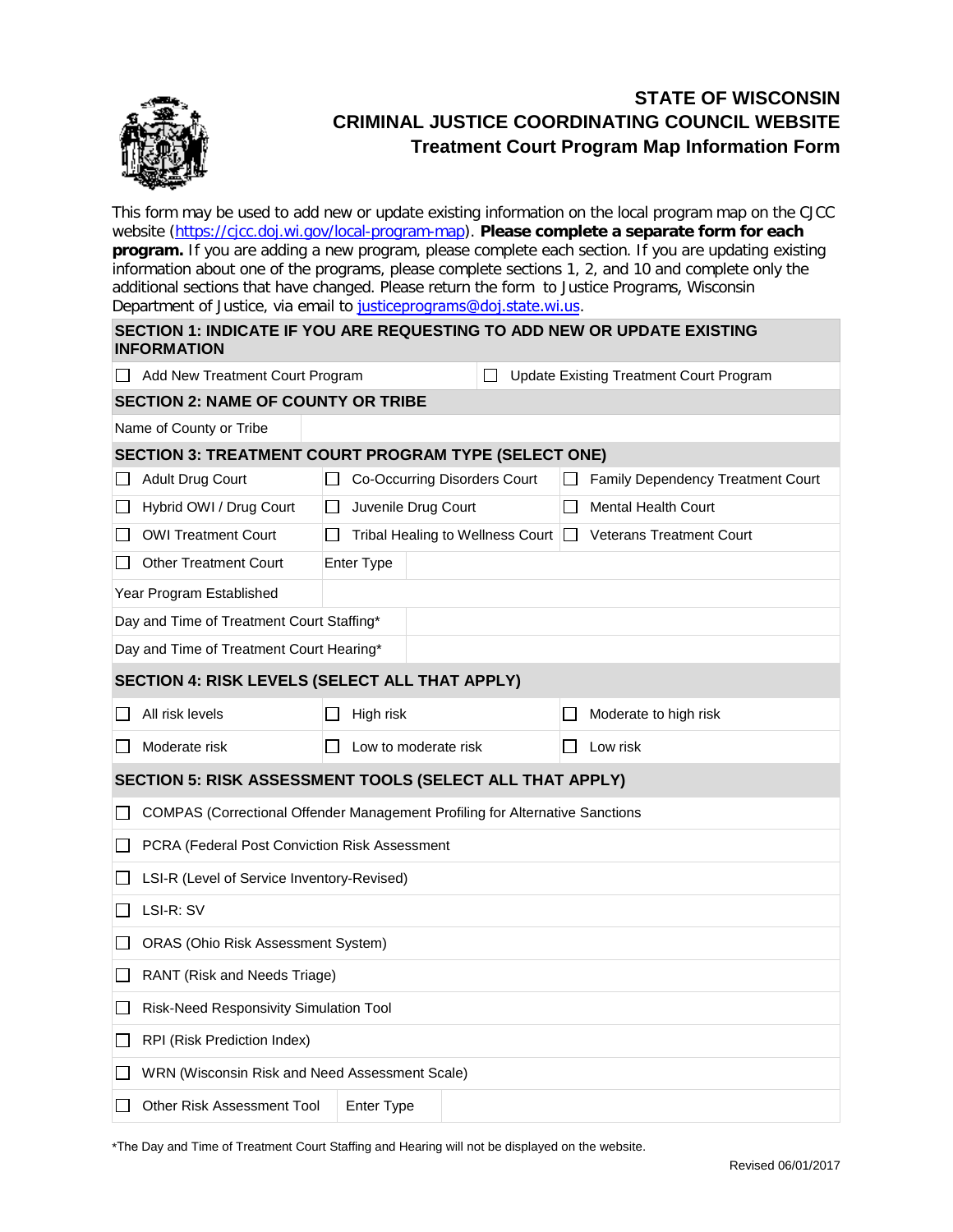

## **STATE OF WISCONSIN CRIMINAL JUSTICE COORDINATING COUNCIL WEBSITE Treatment Court Program Map Information Form**

This form may be used to add new or update existing information on the local program map on the CJCC website [\(https://cjcc.doj.wi.gov/local-program-map\)](https://cjcc.doj.wi.gov/local-program-map). **Please complete a separate form for each program.** If you are adding a new program, please complete each section. If you are updating existing information about one of the programs, please complete sections 1, 2, and 10 and complete only the additional sections that have changed. Please return the form to Justice Programs, Wisconsin Department of Justice, via email to [justiceprograms@doj.state.wi.us](mailto:gentilesm@doj.state.wi.us?subject=CJCC%20Local%20Map%20Information%20Update).

| <b>SECTION 1: INDICATE IF YOU ARE REQUESTING TO ADD NEW OR UPDATE EXISTING</b><br><b>INFORMATION</b> |                                                                              |                                     |  |                                                |                                          |  |  |  |  |  |  |  |
|------------------------------------------------------------------------------------------------------|------------------------------------------------------------------------------|-------------------------------------|--|------------------------------------------------|------------------------------------------|--|--|--|--|--|--|--|
|                                                                                                      | Add New Treatment Court Program                                              |                                     |  | <b>Update Existing Treatment Court Program</b> |                                          |  |  |  |  |  |  |  |
| <b>SECTION 2: NAME OF COUNTY OR TRIBE</b>                                                            |                                                                              |                                     |  |                                                |                                          |  |  |  |  |  |  |  |
| Name of County or Tribe                                                                              |                                                                              |                                     |  |                                                |                                          |  |  |  |  |  |  |  |
| SECTION 3: TREATMENT COURT PROGRAM TYPE (SELECT ONE)                                                 |                                                                              |                                     |  |                                                |                                          |  |  |  |  |  |  |  |
|                                                                                                      | Adult Drug Court                                                             | Co-Occurring Disorders Court        |  |                                                | <b>Family Dependency Treatment Court</b> |  |  |  |  |  |  |  |
|                                                                                                      | Hybrid OWI / Drug Court                                                      | Juvenile Drug Court<br>$\mathbf{I}$ |  |                                                | <b>Mental Health Court</b>               |  |  |  |  |  |  |  |
|                                                                                                      | <b>OWI Treatment Court</b>                                                   | Tribal Healing to Wellness Court    |  |                                                | <b>Veterans Treatment Court</b>          |  |  |  |  |  |  |  |
|                                                                                                      | <b>Other Treatment Court</b>                                                 | <b>Enter Type</b>                   |  |                                                |                                          |  |  |  |  |  |  |  |
| Year Program Established                                                                             |                                                                              |                                     |  |                                                |                                          |  |  |  |  |  |  |  |
| Day and Time of Treatment Court Staffing*                                                            |                                                                              |                                     |  |                                                |                                          |  |  |  |  |  |  |  |
| Day and Time of Treatment Court Hearing*                                                             |                                                                              |                                     |  |                                                |                                          |  |  |  |  |  |  |  |
| SECTION 4: RISK LEVELS (SELECT ALL THAT APPLY)                                                       |                                                                              |                                     |  |                                                |                                          |  |  |  |  |  |  |  |
|                                                                                                      | All risk levels                                                              | High risk                           |  |                                                | Moderate to high risk                    |  |  |  |  |  |  |  |
| $\mathsf{L}$                                                                                         | Moderate risk                                                                | Low to moderate risk                |  |                                                | Low risk                                 |  |  |  |  |  |  |  |
| SECTION 5: RISK ASSESSMENT TOOLS (SELECT ALL THAT APPLY)                                             |                                                                              |                                     |  |                                                |                                          |  |  |  |  |  |  |  |
|                                                                                                      | COMPAS (Correctional Offender Management Profiling for Alternative Sanctions |                                     |  |                                                |                                          |  |  |  |  |  |  |  |
|                                                                                                      | PCRA (Federal Post Conviction Risk Assessment                                |                                     |  |                                                |                                          |  |  |  |  |  |  |  |
|                                                                                                      | LSI-R (Level of Service Inventory-Revised)                                   |                                     |  |                                                |                                          |  |  |  |  |  |  |  |
|                                                                                                      | LSI-R: SV                                                                    |                                     |  |                                                |                                          |  |  |  |  |  |  |  |
|                                                                                                      | <b>ORAS (Ohio Risk Assessment System)</b>                                    |                                     |  |                                                |                                          |  |  |  |  |  |  |  |
|                                                                                                      | RANT (Risk and Needs Triage)                                                 |                                     |  |                                                |                                          |  |  |  |  |  |  |  |
| ΙI                                                                                                   | Risk-Need Responsivity Simulation Tool                                       |                                     |  |                                                |                                          |  |  |  |  |  |  |  |
| $\mathsf{L}$                                                                                         | RPI (Risk Prediction Index)                                                  |                                     |  |                                                |                                          |  |  |  |  |  |  |  |
|                                                                                                      | WRN (Wisconsin Risk and Need Assessment Scale)                               |                                     |  |                                                |                                          |  |  |  |  |  |  |  |
|                                                                                                      | <b>Other Risk Assessment Tool</b>                                            | Enter Type                          |  |                                                |                                          |  |  |  |  |  |  |  |

\*The Day and Time of Treatment Court Staffing and Hearing will not be displayed on the website.